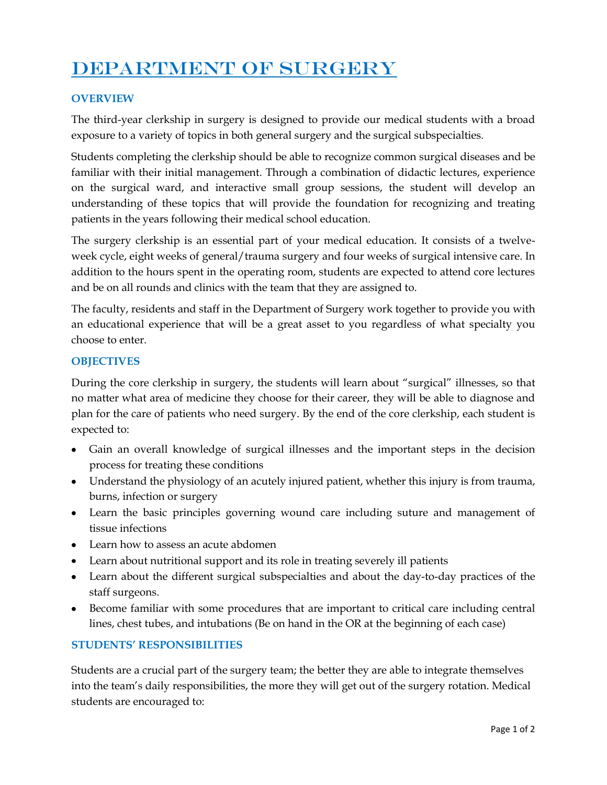# DEPARTMENT OF SURGERY

## **OVERVIEW**

The third-year clerkship in surgery is designed to provide our medical students with a broad exposure to a variety of topics in both general surgery and the surgical subspecialties.

Students completing the clerkship should be able to recognize common surgical diseases and be familiar with their initial management. Through a combination of didactic lectures, experience on the surgical ward, and interactive small group sessions, the student will develop an understanding of these topics that will provide the foundation for recognizing and treating patients in the years following their medical school education.

The surgery clerkship is an essential part of your medical education. It consists of a twelveweek cycle, eight weeks of general/trauma surgery and four weeks of surgical intensive care. In addition to the hours spent in the operating room, students are expected to attend core lectures and be on all rounds and clinics with the team that they are assigned to.

The faculty, residents and staff in the Department of Surgery work together to provide you with an educational experience that will be a great asset to you regardless of what specialty you choose to enter.

### **OBJECTIVES**

During the core clerkship in surgery, the students will learn about "surgical" illnesses, so that no matter what area of medicine they choose for their career, they will be able to diagnose and plan for the care of patients who need surgery. By the end of the core clerkship, each student is expected to:

- Gain an overall knowledge of surgical illnesses and the important steps in the decision process for treating these conditions
- Understand the physiology of an acutely injured patient, whether this injury is from trauma, burns, infection or surgery
- Learn the basic principles governing wound care including suture and management of tissue infections
- Learn how to assess an acute abdomen
- Learn about nutritional support and its role in treating severely ill patients
- Learn about the different surgical subspecialties and about the day-to-day practices of the staff surgeons.
- Become familiar with some procedures that are important to critical care including central lines, chest tubes, and intubations (Be on hand in the OR at the beginning of each case)

## **STUDENTS' RESPONSIBILITIES**

Students are a crucial part of the surgery team; the better they are able to integrate themselves into the team's daily responsibilities, the more they will get out of the surgery rotation. Medical students are encouraged to: